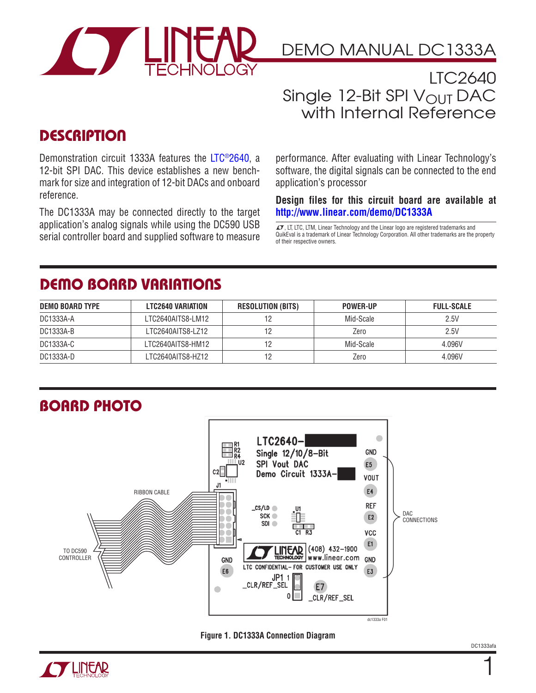

DEMO MANUAL DC1333A

LTC2640 Single 12-Bit SPI  $V_{OUT}$  DAC with Internal Reference

### **DESCRIPTION**

Demonstration circuit 1333A features the [LTC®2640,](http://www.linear.com/LTC2640) a 12-bit SPI DAC. This device establishes a new benchmark for size and integration of 12-bit DACs and onboard reference.

The DC1333A may be connected directly to the target application's analog signals while using the DC590 USB serial controller board and supplied software to measure performance. After evaluating with Linear Technology's software, the digital signals can be connected to the end application's processor

**Design files for this circuit board are available at [http://www.linear.com/demo](http://www.linear.com/demo/DC1333A)/DC1333A**

 $\mathcal{I}$ , LT, LTC, LTM, Linear Technology and the Linear logo are registered trademarks and QuikEval is a trademark of Linear Technology Corporation. All other trademarks are the property of their respective owners.

## DEMO BOARD VARIATIONS

| DEMO BOARD TYPE | LTC2640 VARIATION | <b>RESOLUTION (BITS)</b> | <b>POWER-UP</b> | <b>FULL-SCALE</b> |
|-----------------|-------------------|--------------------------|-----------------|-------------------|
| DC1333A-A       | LTC2640AITS8-LM12 |                          | Mid-Scale       | 2.5V              |
| DC1333A-B       | LTC2640AITS8-LZ12 |                          | Zero            | 2.5V              |
| DC1333A-C       | LTC2640AITS8-HM12 |                          | Mid-Scale       | 4.096V            |
| DC1333A-D       | LTC2640AITS8-HZ12 |                          | Zero            | 4.096V            |

# BOARD PHOTO





1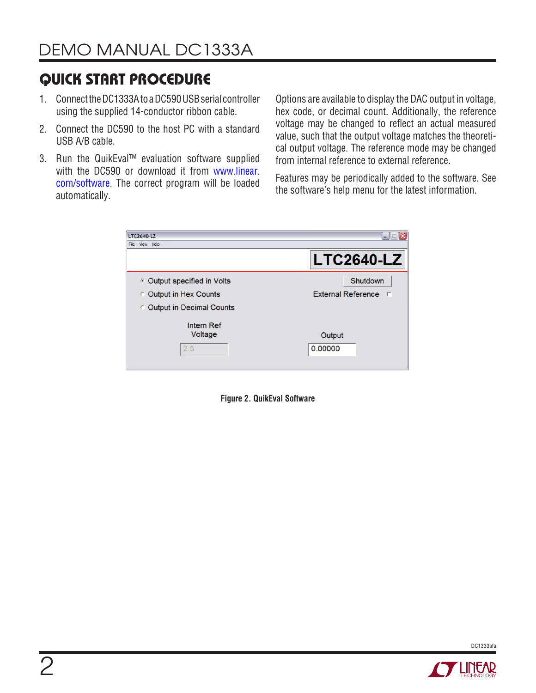# QUICK START PROCEDURE

- 1. ConnecttheDC1333AtoaDC590USBserial controller using the supplied 14-conductor ribbon cable.
- 2. Connect the DC590 to the host PC with a standard USB A/B cable.
- 3. Run the QuikEval™ evaluation software supplied with the DC590 or download it from [www.linear.](http://www.linear.com/software) [com/software](http://www.linear.com/software). The correct program will be loaded automatically.

Options are available to display the DAC output in voltage, hex code, or decimal count. Additionally, the reference voltage may be changed to reflect an actual measured value, such that the output voltage matches the theoretical output voltage. The reference mode may be changed from internal reference to external reference.

Features may be periodically added to the software. See the software's help menu for the latest information.

| $ \blacksquare$ $\times$<br>LTC2640-LZ<br>File View Help |                                |  |  |  |  |
|----------------------------------------------------------|--------------------------------|--|--|--|--|
|                                                          | <b>LTC2640-LZ</b>              |  |  |  |  |
| Coutput specified in Volts                               | Shutdown                       |  |  |  |  |
| © Output in Hex Counts                                   | <b>External Reference</b><br>п |  |  |  |  |
| C Output in Decimal Counts                               |                                |  |  |  |  |
| Intern Ref                                               |                                |  |  |  |  |
| Voltage                                                  | Output                         |  |  |  |  |
| 2.5                                                      | 0.00000                        |  |  |  |  |
|                                                          |                                |  |  |  |  |

**Figure 2. QuikEval Software**



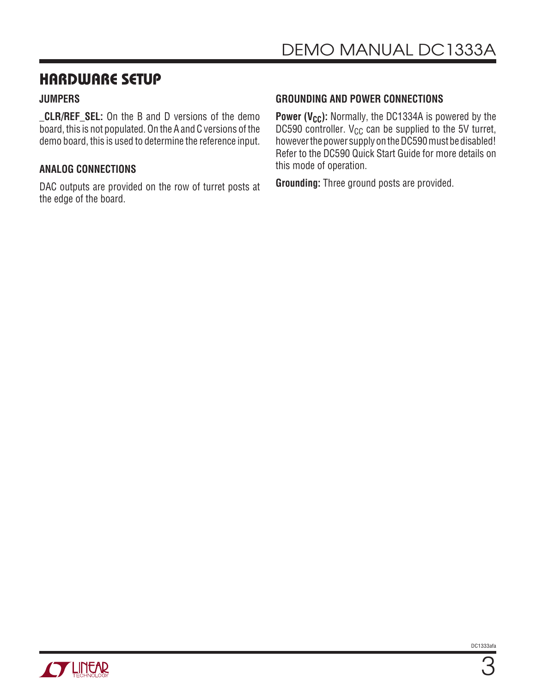### HARDWARE SETUP

#### **JUMPERS**

**CLR/REF SEL:** On the B and D versions of the demo board, this is not populated. On the A and C versions of the demo board, this is used to determine the reference input.

#### **ANALOG CONNECTIONS**

DAC outputs are provided on the row of turret posts at the edge of the board.

### **GROUNDING AND POWER CONNECTIONS**

**Power (V<sub>CC</sub>):** Normally, the DC1334A is powered by the DC590 controller.  $V_{CC}$  can be supplied to the 5V turret, however the power supply on the DC590 must be disabled! Refer to the DC590 Quick Start Guide for more details on this mode of operation.

**Grounding:** Three ground posts are provided.

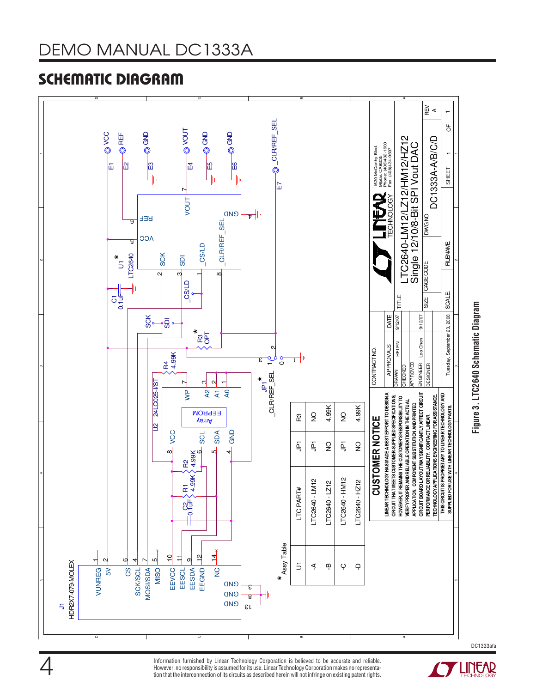# SCHEMATIC DIAGRAM



**Figure 3. LTC2640 Schematic Diagram**

Figure 3. LTC2640 Schematic Diagram

Information furnished by Linear Technology Corporation is believed to be accurate and reliable. However, no responsibility is assumed for its use. Linear Technology Corporation makes no representation that the interconnection of its circuits as described herein will not infringe on existing patent rights.

4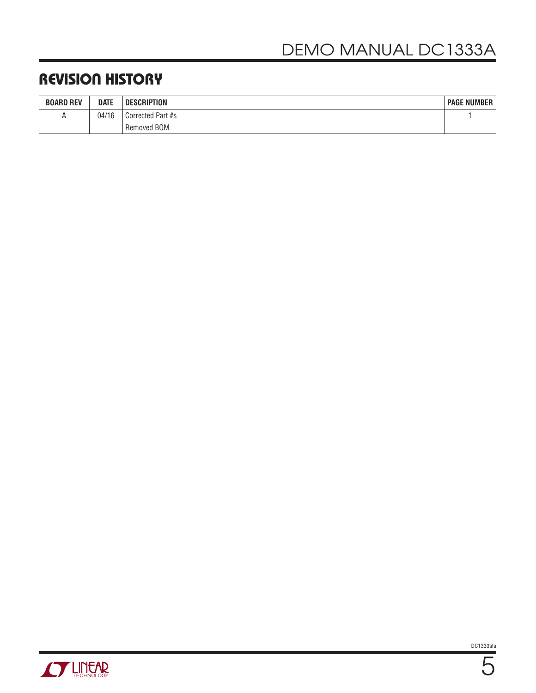### REVISION HISTORY

| <b>BOARD REV</b> | <b>DATE</b> | <b>DESCRIPTION</b> | <b>PAGE NUMBER</b> |
|------------------|-------------|--------------------|--------------------|
| . .              | 04/16       | Corrected Part #s  |                    |
|                  |             | <b>Removed BOM</b> |                    |

DC1333afa